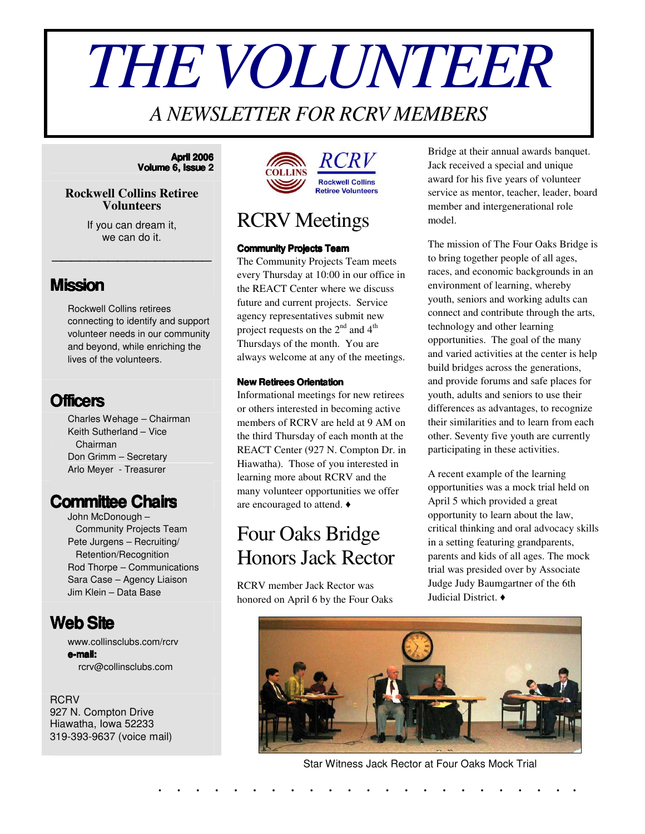# *THEVOLUNTEER*

#### *A NEWSLETTER FOR RCRV MEMBERS*

#### **April 2006 Volume 6, Issue 2**

#### **Rockwell Collins Retiree Volunteers**

If you can dream it, we can do it.

\_\_\_\_\_\_\_\_\_\_\_\_\_\_\_\_\_

#### **Mission**

Rockwell Collins retirees connecting to identify and support volunteer needs in our community and beyond, while enriching the lives of the volunteers.

#### **Officers**

Charles Wehage – Chairman Keith Sutherland – Vice Chairman Don Grimm – Secretary Arlo Meyer - Treasurer

#### **Committee Chairs**

John McDonough – Community Projects Team Pete Jurgens – Recruiting/ Retention/Recognition Rod Thorpe – Communications Sara Case – Agency Liaison Jim Klein – Data Base

#### **WebSite**

www.collinsclubs.com/rcrv **e-mail:** rcrv@collinsclubs.com

**RCRV** 927 N. Compton Drive Hiawatha, Iowa 52233 319-393-9637 (voice mail)



#### RCRV Meetings

#### **Community Projects Team**

The Community Projects Team meets every Thursday at 10:00 in our office in the REACT Center where we discuss future and current projects. Service agency representatives submit new project requests on the  $2^{nd}$  and  $4^{th}$ Thursdays of the month. You are always welcome at any of the meetings.

#### **New Retirees Orientation**

Informational meetings for new retirees or others interested in becoming active members of RCRV are held at 9 AM on the third Thursday of each month at the REACT Center (927 N. Compton Dr. in Hiawatha). Those of you interested in learning more about RCRV and the many volunteer opportunities we offer are encouraged to attend.

#### Four Oaks Bridge Honors Jack Rector

RCRV member Jack Rector was honored on April 6 by the Four Oaks Bridge at their annual awards banquet. Jack received a special and unique award for his five years of volunteer service as mentor, teacher, leader, board member and intergenerational role model.

The mission of The Four Oaks Bridge is to bring together people of all ages, races, and economic backgrounds in an environment of learning, whereby youth, seniors and working adults can connect and contribute through the arts, technology and other learning opportunities. The goal of the many and varied activities at the center is help build bridges across the generations, and provide forums and safe places for youth, adults and seniors to use their differences as advantages, to recognize their similarities and to learn from each other. Seventy five youth are currently participating in these activities.

A recent example of the learning opportunities was a mock trial held on April 5 which provided a great opportunity to learn about the law, critical thinking and oral advocacy skills in a setting featuring grandparents, parents and kids of all ages. The mock trial was presided over by Associate Judge Judy Baumgartner of the 6th Judicial District.



Star Witness Jack Rector at Four Oaks Mock Trial

. . . . . . . . . . . . . . . . . . . . . . .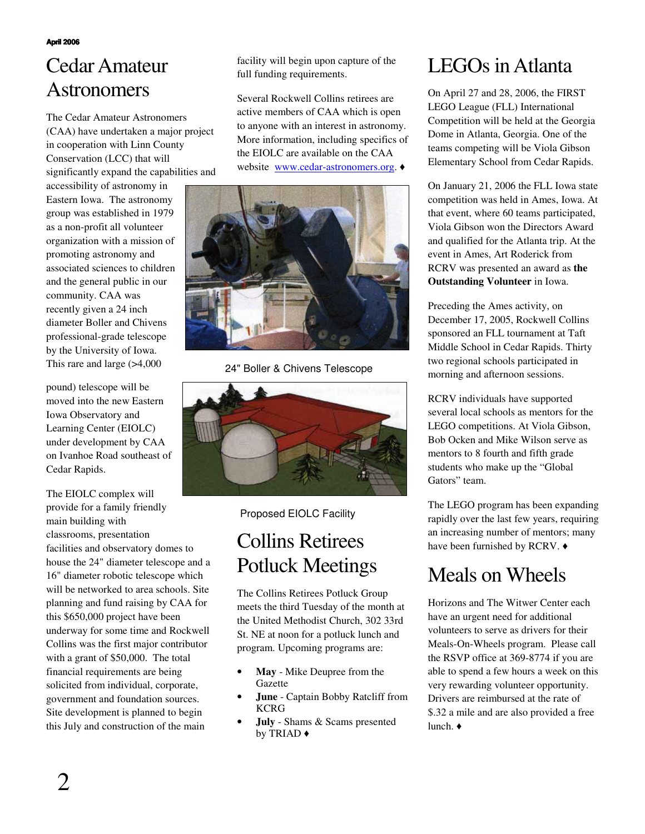## Cedar Amateur Astronomers

The Cedar Amateur Astronomers (CAA) have undertaken a major project in cooperation with Linn County Conservation (LCC) that will significantly expand the capabilities and

accessibility of astronomy in Eastern Iowa. The astronomy group was established in 1979 as a non-profit all volunteer organization with a mission of promoting astronomy and associated sciences to children and the general public in our community. CAA was recently given a 24 inch diameter Boller and Chivens professional-grade telescope by the University of Iowa. This rare and large (>4,000

pound) telescope will be moved into the new Eastern Iowa Observatory and Learning Center (EIOLC) under development by CAA on Ivanhoe Road southeast of Cedar Rapids.

The EIOLC complex will provide for a family friendly main building with classrooms, presentation facilities and observatory domes to house the 24" diameter telescope and a 16" diameter robotic telescope which will be networked to area schools. Site planning and fund raising by CAA for this \$650,000 project have been underway for some time and Rockwell Collins was the first major contributor with a grant of \$50,000. The total financial requirements are being solicited from individual, corporate, government and foundation sources. Site development is planned to begin this July and construction of the main

facility will begin upon capture of the full funding requirements.

Several Rockwell Collins retirees are active members of CAA which is open to anyone with an interest in astronomy. More information, including specifics of the EIOLC are available on the CAA website www.cedar-astronomers.org.  $\triangleleft$ 



24" Boller & Chivens Telescope



Proposed EIOLC Facility

## Collins Retirees Potluck Meetings

The Collins Retirees Potluck Group meets the third Tuesday of the month at the United Methodist Church, 302 33rd St. NE at noon for a potluck lunch and program. Upcoming programs are:

- **May** Mike Deupree from the Gazette
- **June** Captain Bobby Ratcliff from KCRG
- **July** Shams & Scams presented by TRIAD

#### LEGOs in Atlanta

On April 27 and 28, 2006, the FIRST LEGO League (FLL) International Competition will be held at the Georgia Dome in Atlanta, Georgia. One of the teams competing will be Viola Gibson Elementary School from Cedar Rapids.

On January 21, 2006 the FLL Iowa state competition was held in Ames, Iowa. At that event, where 60 teams participated, Viola Gibson won the Directors Award and qualified for the Atlanta trip. At the event in Ames, Art Roderick from RCRV was presented an award as **the Outstanding Volunteer** in Iowa.

Preceding the Ames activity, on December 17, 2005, Rockwell Collins sponsored an FLL tournament at Taft Middle School in Cedar Rapids. Thirty two regional schools participated in morning and afternoon sessions.

RCRV individuals have supported several local schools as mentors for the LEGO competitions. At Viola Gibson, Bob Ocken and Mike Wilson serve as mentors to 8 fourth and fifth grade students who make up the "Global Gators" team.

The LEGO program has been expanding rapidly over the last few years, requiring an increasing number of mentors; many have been furnished by RCRV.  $\triangleleft$ 

## Meals on Wheels

Horizons and The Witwer Center each have an urgent need for additional volunteers to serve as drivers for their Meals-On-Wheels program. Please call the RSVP office at 369-8774 if you are able to spend a few hours a week on this very rewarding volunteer opportunity. Drivers are reimbursed at the rate of \$.32 a mile and are also provided a free lunch.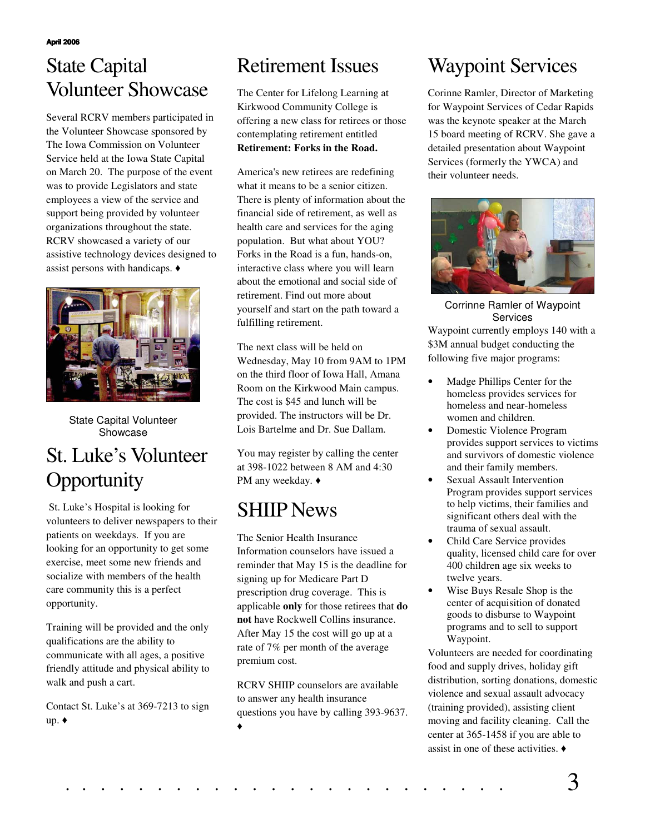## State Capital Volunteer Showcase

Several RCRV members participated in the Volunteer Showcase sponsored by The Iowa Commission on Volunteer Service held at the Iowa State Capital on March 20. The purpose of the event was to provide Legislators and state employees a view of the service and support being provided by volunteer organizations throughout the state. RCRV showcased a variety of our assistive technology devices designed to assist persons with handicaps.



State Capital Volunteer Showcase

# St. Luke's Volunteer **Opportunity**

St. Luke's Hospital is looking for volunteers to deliver newspapers to their patients on weekdays. If you are looking for an opportunity to get some exercise, meet some new friends and socialize with members of the health care community this is a perfect opportunity.

Training will be provided and the only qualifications are the ability to communicate with all ages, a positive friendly attitude and physical ability to walk and push a cart.

Contact St. Luke's at 369-7213 to sign up.  $\bullet$ 

#### Retirement Issues

The Center for Lifelong Learning at Kirkwood Community College is offering a new class for retirees or those contemplating retirement entitled **Retirement: Forks in the Road.**

America's new retirees are redefining what it means to be a senior citizen. There is plenty of information about the financial side of retirement, as well as health care and services for the aging population. But what about YOU? Forks in the Road is a fun, hands-on, interactive class where you will learn about the emotional and social side of retirement. Find out more about yourself and start on the path toward a fulfilling retirement.

The next class will be held on Wednesday, May 10 from 9AM to 1PM on the third floor of Iowa Hall, Amana Room on the Kirkwood Main campus. The cost is \$45 and lunch will be provided. The instructors will be Dr. Lois Bartelme and Dr. Sue Dallam.

You may register by calling the center at 398-1022 between 8 AM and 4:30 PM any weekday.  $\triangleleft$ 

## SHIIP News

The Senior Health Insurance Information counselors have issued a reminder that May 15 is the deadline for signing up for Medicare Part D prescription drug coverage. This is applicable **only** for those retirees that **do not** have Rockwell Collins insurance. After May 15 the cost will go up at a rate of 7% per month of the average premium cost.

RCRV SHIIP counselors are available to answer any health insurance questions you have by calling 393-9637. ◆

# Waypoint Services

Corinne Ramler, Director of Marketing for Waypoint Services of Cedar Rapids was the keynote speaker at the March 15 board meeting of RCRV. She gave a detailed presentation about Waypoint Services (formerly the YWCA) and their volunteer needs.



Waypoint currently employs 140 with a \$3M annual budget conducting the following five major programs: Corrinne Ramler of Waypoint Services

- Madge Phillips Center for the homeless provides services for homeless and near-homeless women and children.
- Domestic Violence Program provides support services to victims and survivors of domestic violence and their family members.
- Sexual Assault Intervention Program provides support services to help victims, their families and significant others deal with the trauma of sexual assault.
- Child Care Service provides quality, licensed child care for over 400 children age six weeks to twelve years.
- Wise Buys Resale Shop is the center of acquisition of donated goods to disburse to Waypoint programs and to sell to support Waypoint.

Volunteers are needed for coordinating food and supply drives, holiday gift distribution, sorting donations, domestic violence and sexual assault advocacy (training provided), assisting client moving and facility cleaning. Call the center at 365-1458 if you are able to assist in one of these activities.